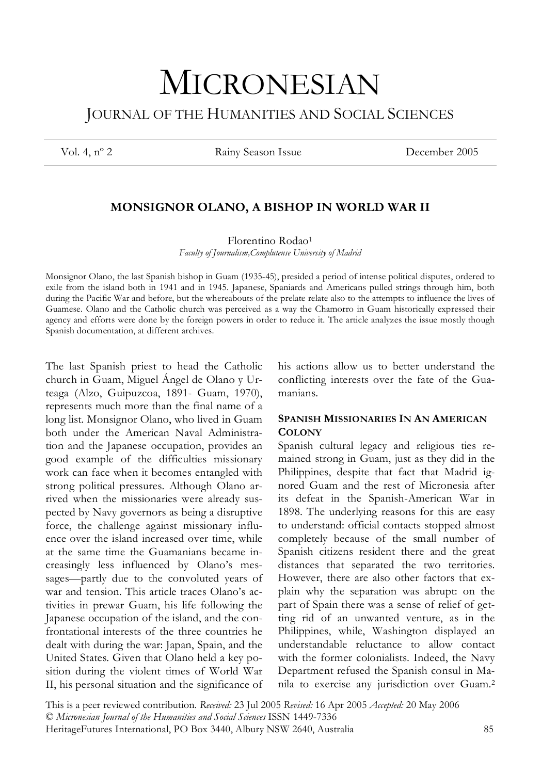# MICRONESIAN JOURNAL OF THE HUMANITIES AND SOCIAL SCIENCES

Vol. 4, nº 2 Rainy Season Issue December 2005

# **MONSIGNOR OLANO, A BISHOP IN WORLD WAR II**

Florentino Rodao1

*Faculty of Journalism,Complutense University of Madrid*

Monsignor Olano, the last Spanish bishop in Guam (1935-45), presided a period of intense political disputes, ordered to exile from the island both in 1941 and in 1945. Japanese, Spaniards and Americans pulled strings through him, both during the Pacific War and before, but the whereabouts of the prelate relate also to the attempts to influence the lives of Guamese. Olano and the Catholic church was perceived as a way the Chamorro in Guam historically expressed their agency and efforts were done by the foreign powers in order to reduce it. The article analyzes the issue mostly though Spanish documentation, at different archives.

The last Spanish priest to head the Catholic church in Guam, Miguel Ángel de Olano y Urteaga (Alzo, Guipuzcoa, 1891- Guam, 1970), represents much more than the final name of a long list. Monsignor Olano, who lived in Guam both under the American Naval Administration and the Japanese occupation, provides an good example of the difficulties missionary work can face when it becomes entangled with strong political pressures. Although Olano arrived when the missionaries were already suspected by Navy governors as being a disruptive force, the challenge against missionary influence over the island increased over time, while at the same time the Guamanians became increasingly less influenced by Olano's messages—partly due to the convoluted years of war and tension. This article traces Olano's activities in prewar Guam, his life following the Japanese occupation of the island, and the confrontational interests of the three countries he dealt with during the war: Japan, Spain, and the United States. Given that Olano held a key position during the violent times of World War II, his personal situation and the significance of his actions allow us to better understand the conflicting interests over the fate of the Guamanians.

# **SPANISH MISSIONARIES IN AN AMERICAN COLONY**

Spanish cultural legacy and religious ties remained strong in Guam, just as they did in the Philippines, despite that fact that Madrid ignored Guam and the rest of Micronesia after its defeat in the Spanish-American War in 1898. The underlying reasons for this are easy to understand: official contacts stopped almost completely because of the small number of Spanish citizens resident there and the great distances that separated the two territories. However, there are also other factors that explain why the separation was abrupt: on the part of Spain there was a sense of relief of getting rid of an unwanted venture, as in the Philippines, while, Washington displayed an understandable reluctance to allow contact with the former colonialists. Indeed, the Navy Department refused the Spanish consul in Manila to exercise any jurisdiction over Guam.2

This is a peer reviewed contribution. *Received:* 23 Jul 2005 *Revised:* 16 Apr 2005 *Accepted:* 20 May 2006 © *Micronesian Journal of the Humanities and Social Sciences* ISSN 1449-7336 HeritageFutures International, PO Box 3440, Albury NSW 2640, Australia 85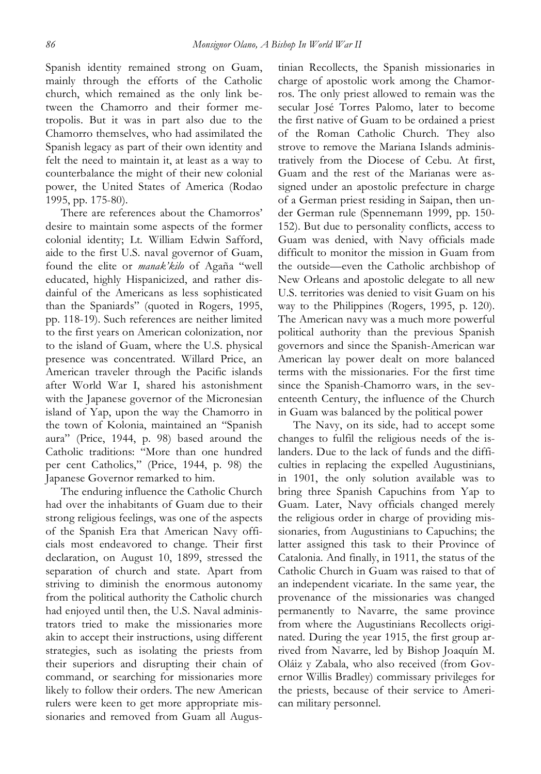Spanish identity remained strong on Guam, mainly through the efforts of the Catholic church, which remained as the only link between the Chamorro and their former metropolis. But it was in part also due to the Chamorro themselves, who had assimilated the Spanish legacy as part of their own identity and felt the need to maintain it, at least as a way to counterbalance the might of their new colonial power, the United States of America (Rodao 1995, pp. 175-80).

There are references about the Chamorros' desire to maintain some aspects of the former colonial identity; Lt. William Edwin Safford, aide to the first U.S. naval governor of Guam, found the elite or *manak'kilo* of Agaña "well educated, highly Hispanicized, and rather disdainful of the Americans as less sophisticated than the Spaniards" (quoted in Rogers, 1995, pp. 118-19). Such references are neither limited to the first years on American colonization, nor to the island of Guam, where the U.S. physical presence was concentrated. Willard Price, an American traveler through the Pacific islands after World War I, shared his astonishment with the Japanese governor of the Micronesian island of Yap, upon the way the Chamorro in the town of Kolonia, maintained an "Spanish aura" (Price, 1944, p. 98) based around the Catholic traditions: "More than one hundred per cent Catholics," (Price, 1944, p. 98) the Japanese Governor remarked to him.

The enduring influence the Catholic Church had over the inhabitants of Guam due to their strong religious feelings, was one of the aspects of the Spanish Era that American Navy officials most endeavored to change. Their first declaration, on August 10, 1899, stressed the separation of church and state. Apart from striving to diminish the enormous autonomy from the political authority the Catholic church had enjoyed until then, the U.S. Naval administrators tried to make the missionaries more akin to accept their instructions, using different strategies, such as isolating the priests from their superiors and disrupting their chain of command, or searching for missionaries more likely to follow their orders. The new American rulers were keen to get more appropriate missionaries and removed from Guam all Augustinian Recollects, the Spanish missionaries in charge of apostolic work among the Chamorros. The only priest allowed to remain was the secular José Torres Palomo, later to become the first native of Guam to be ordained a priest of the Roman Catholic Church. They also strove to remove the Mariana Islands administratively from the Diocese of Cebu. At first, Guam and the rest of the Marianas were assigned under an apostolic prefecture in charge of a German priest residing in Saipan, then under German rule (Spennemann 1999, pp. 150- 152). But due to personality conflicts, access to Guam was denied, with Navy officials made difficult to monitor the mission in Guam from the outside—even the Catholic archbishop of New Orleans and apostolic delegate to all new U.S. territories was denied to visit Guam on his way to the Philippines (Rogers, 1995, p. 120). The American navy was a much more powerful political authority than the previous Spanish governors and since the Spanish-American war American lay power dealt on more balanced terms with the missionaries. For the first time since the Spanish-Chamorro wars, in the seventeenth Century, the influence of the Church in Guam was balanced by the political power

The Navy, on its side, had to accept some changes to fulfil the religious needs of the islanders. Due to the lack of funds and the difficulties in replacing the expelled Augustinians, in 1901, the only solution available was to bring three Spanish Capuchins from Yap to Guam. Later, Navy officials changed merely the religious order in charge of providing missionaries, from Augustinians to Capuchins; the latter assigned this task to their Province of Catalonia. And finally, in 1911, the status of the Catholic Church in Guam was raised to that of an independent vicariate. In the same year, the provenance of the missionaries was changed permanently to Navarre, the same province from where the Augustinians Recollects originated. During the year 1915, the first group arrived from Navarre, led by Bishop Joaquín M. Oláiz y Zabala, who also received (from Governor Willis Bradley) commissary privileges for the priests, because of their service to American military personnel.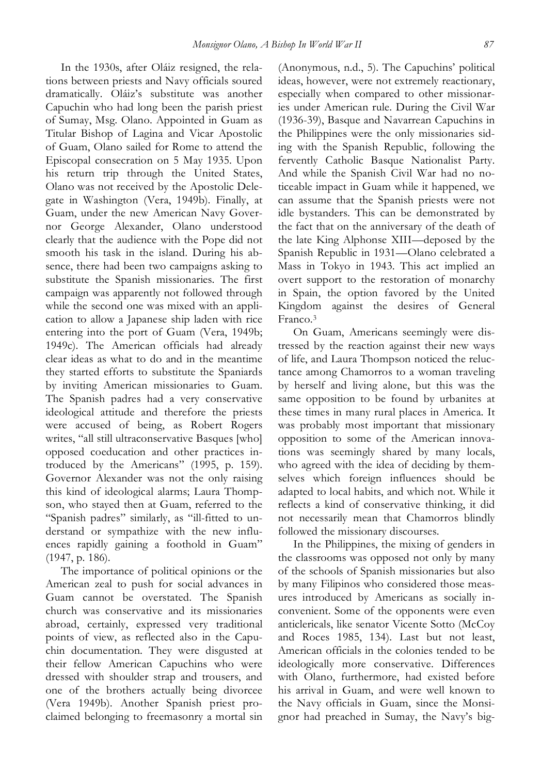In the 1930s, after Oláiz resigned, the relations between priests and Navy officials soured dramatically. Oláiz's substitute was another Capuchin who had long been the parish priest of Sumay, Msg. Olano. Appointed in Guam as Titular Bishop of Lagina and Vicar Apostolic of Guam, Olano sailed for Rome to attend the Episcopal consecration on 5 May 1935. Upon his return trip through the United States, Olano was not received by the Apostolic Delegate in Washington (Vera, 1949b). Finally, at Guam, under the new American Navy Governor George Alexander, Olano understood clearly that the audience with the Pope did not smooth his task in the island. During his absence, there had been two campaigns asking to substitute the Spanish missionaries. The first campaign was apparently not followed through while the second one was mixed with an application to allow a Japanese ship laden with rice entering into the port of Guam (Vera, 1949b; 1949c). The American officials had already clear ideas as what to do and in the meantime they started efforts to substitute the Spaniards by inviting American missionaries to Guam. The Spanish padres had a very conservative ideological attitude and therefore the priests were accused of being, as Robert Rogers writes, "all still ultraconservative Basques [who] opposed coeducation and other practices introduced by the Americans" (1995, p. 159). Governor Alexander was not the only raising this kind of ideological alarms; Laura Thompson, who stayed then at Guam, referred to the "Spanish padres" similarly, as "ill-fitted to understand or sympathize with the new influences rapidly gaining a foothold in Guam" (1947, p. 186).

The importance of political opinions or the American zeal to push for social advances in Guam cannot be overstated. The Spanish church was conservative and its missionaries abroad, certainly, expressed very traditional points of view, as reflected also in the Capuchin documentation. They were disgusted at their fellow American Capuchins who were dressed with shoulder strap and trousers, and one of the brothers actually being divorcee (Vera 1949b). Another Spanish priest proclaimed belonging to freemasonry a mortal sin (Anonymous, n.d., 5). The Capuchins' political ideas, however, were not extremely reactionary, especially when compared to other missionaries under American rule. During the Civil War (1936-39), Basque and Navarrean Capuchins in the Philippines were the only missionaries siding with the Spanish Republic, following the fervently Catholic Basque Nationalist Party. And while the Spanish Civil War had no noticeable impact in Guam while it happened, we can assume that the Spanish priests were not idle bystanders. This can be demonstrated by the fact that on the anniversary of the death of the late King Alphonse XIII—deposed by the Spanish Republic in 1931—Olano celebrated a Mass in Tokyo in 1943. This act implied an overt support to the restoration of monarchy in Spain, the option favored by the United Kingdom against the desires of General Franco.3

On Guam, Americans seemingly were distressed by the reaction against their new ways of life, and Laura Thompson noticed the reluctance among Chamorros to a woman traveling by herself and living alone, but this was the same opposition to be found by urbanites at these times in many rural places in America. It was probably most important that missionary opposition to some of the American innovations was seemingly shared by many locals, who agreed with the idea of deciding by themselves which foreign influences should be adapted to local habits, and which not. While it reflects a kind of conservative thinking, it did not necessarily mean that Chamorros blindly followed the missionary discourses.

In the Philippines, the mixing of genders in the classrooms was opposed not only by many of the schools of Spanish missionaries but also by many Filipinos who considered those measures introduced by Americans as socially inconvenient. Some of the opponents were even anticlericals, like senator Vicente Sotto (McCoy and Roces 1985, 134). Last but not least, American officials in the colonies tended to be ideologically more conservative. Differences with Olano, furthermore, had existed before his arrival in Guam, and were well known to the Navy officials in Guam, since the Monsignor had preached in Sumay, the Navy's big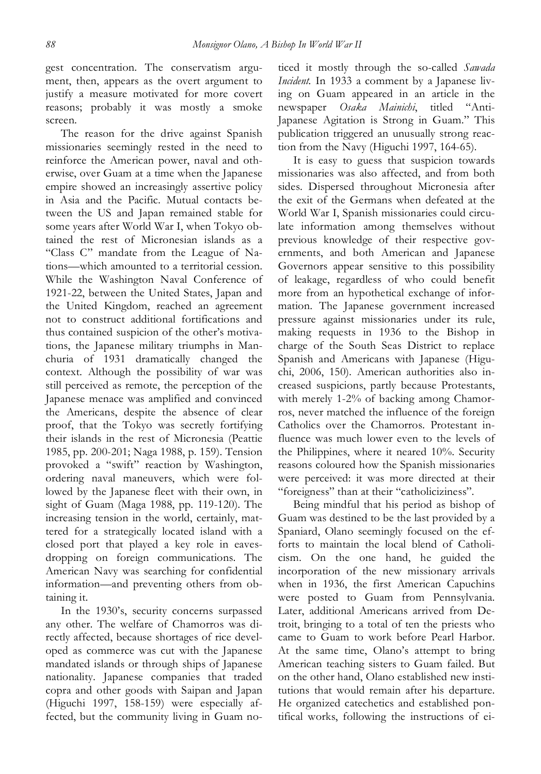gest concentration. The conservatism argument, then, appears as the overt argument to justify a measure motivated for more covert reasons; probably it was mostly a smoke screen.

The reason for the drive against Spanish missionaries seemingly rested in the need to reinforce the American power, naval and otherwise, over Guam at a time when the Japanese empire showed an increasingly assertive policy in Asia and the Pacific. Mutual contacts between the US and Japan remained stable for some years after World War I, when Tokyo obtained the rest of Micronesian islands as a "Class C" mandate from the League of Nations—which amounted to a territorial cession. While the Washington Naval Conference of 1921-22, between the United States, Japan and the United Kingdom, reached an agreement not to construct additional fortifications and thus contained suspicion of the other's motivations, the Japanese military triumphs in Manchuria of 1931 dramatically changed the context. Although the possibility of war was still perceived as remote, the perception of the Japanese menace was amplified and convinced the Americans, despite the absence of clear proof, that the Tokyo was secretly fortifying their islands in the rest of Micronesia (Peattie 1985, pp. 200-201; Naga 1988, p. 159). Tension provoked a "swift" reaction by Washington, ordering naval maneuvers, which were followed by the Japanese fleet with their own, in sight of Guam (Maga 1988, pp. 119-120). The increasing tension in the world, certainly, mattered for a strategically located island with a closed port that played a key role in eavesdropping on foreign communications. The American Navy was searching for confidential information—and preventing others from obtaining it.

In the 1930's, security concerns surpassed any other. The welfare of Chamorros was directly affected, because shortages of rice developed as commerce was cut with the Japanese mandated islands or through ships of Japanese nationality. Japanese companies that traded copra and other goods with Saipan and Japan (Higuchi 1997, 158-159) were especially affected, but the community living in Guam noticed it mostly through the so-called *Sawada Incident.* In 1933 a comment by a Japanese living on Guam appeared in an article in the newspaper *Osaka Mainichi*, titled "Anti-Japanese Agitation is Strong in Guam." This publication triggered an unusually strong reaction from the Navy (Higuchi 1997, 164-65).

It is easy to guess that suspicion towards missionaries was also affected, and from both sides. Dispersed throughout Micronesia after the exit of the Germans when defeated at the World War I, Spanish missionaries could circulate information among themselves without previous knowledge of their respective governments, and both American and Japanese Governors appear sensitive to this possibility of leakage, regardless of who could benefit more from an hypothetical exchange of information. The Japanese government increased pressure against missionaries under its rule, making requests in 1936 to the Bishop in charge of the South Seas District to replace Spanish and Americans with Japanese (Higuchi, 2006, 150). American authorities also increased suspicions, partly because Protestants, with merely 1-2% of backing among Chamorros, never matched the influence of the foreign Catholics over the Chamorros. Protestant influence was much lower even to the levels of the Philippines, where it neared 10%. Security reasons coloured how the Spanish missionaries were perceived: it was more directed at their "foreigness" than at their "catholiciziness".

Being mindful that his period as bishop of Guam was destined to be the last provided by a Spaniard, Olano seemingly focused on the efforts to maintain the local blend of Catholicism. On the one hand, he guided the incorporation of the new missionary arrivals when in 1936, the first American Capuchins were posted to Guam from Pennsylvania. Later, additional Americans arrived from Detroit, bringing to a total of ten the priests who came to Guam to work before Pearl Harbor. At the same time, Olano's attempt to bring American teaching sisters to Guam failed. But on the other hand, Olano established new institutions that would remain after his departure. He organized catechetics and established pontifical works, following the instructions of ei-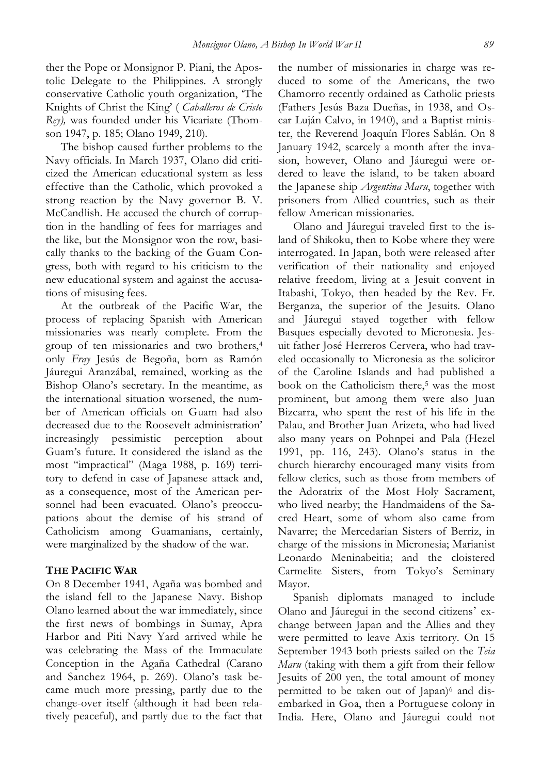ther the Pope or Monsignor P. Piani, the Apostolic Delegate to the Philippines. A strongly conservative Catholic youth organization, 'The Knights of Christ the King' ( *Caballeros de Cristo Rey),* was founded under his Vicariate (Thomson 1947, p. 185; Olano 1949, 210).

The bishop caused further problems to the Navy officials. In March 1937, Olano did criticized the American educational system as less effective than the Catholic, which provoked a strong reaction by the Navy governor B. V. McCandlish. He accused the church of corruption in the handling of fees for marriages and the like, but the Monsignor won the row, basically thanks to the backing of the Guam Congress, both with regard to his criticism to the new educational system and against the accusations of misusing fees.

At the outbreak of the Pacific War, the process of replacing Spanish with American missionaries was nearly complete. From the group of ten missionaries and two brothers,4 only *Fray* Jesús de Begoña, born as Ramón Jáuregui Aranzábal, remained, working as the Bishop Olano's secretary. In the meantime, as the international situation worsened, the number of American officials on Guam had also decreased due to the Roosevelt administration' increasingly pessimistic perception about Guam's future. It considered the island as the most "impractical" (Maga 1988, p. 169) territory to defend in case of Japanese attack and, as a consequence, most of the American personnel had been evacuated. Olano's preoccupations about the demise of his strand of Catholicism among Guamanians, certainly, were marginalized by the shadow of the war.

## **THE PACIFIC WAR**

On 8 December 1941, Agaña was bombed and the island fell to the Japanese Navy. Bishop Olano learned about the war immediately, since the first news of bombings in Sumay, Apra Harbor and Piti Navy Yard arrived while he was celebrating the Mass of the Immaculate Conception in the Agaña Cathedral (Carano and Sanchez 1964, p. 269). Olano's task became much more pressing, partly due to the change-over itself (although it had been relatively peaceful), and partly due to the fact that the number of missionaries in charge was reduced to some of the Americans, the two Chamorro recently ordained as Catholic priests (Fathers Jesús Baza Dueñas, in 1938, and Oscar Luján Calvo, in 1940), and a Baptist minister, the Reverend Joaquín Flores Sablán. On 8 January 1942, scarcely a month after the invasion, however, Olano and Jáuregui were ordered to leave the island, to be taken aboard the Japanese ship *Argentina Maru*, together with prisoners from Allied countries, such as their fellow American missionaries.

Olano and Jáuregui traveled first to the island of Shikoku, then to Kobe where they were interrogated. In Japan, both were released after verification of their nationality and enjoyed relative freedom, living at a Jesuit convent in Itabashi, Tokyo, then headed by the Rev. Fr. Berganza, the superior of the Jesuits. Olano and Jáuregui stayed together with fellow Basques especially devoted to Micronesia. Jesuit father José Herreros Cervera, who had traveled occasionally to Micronesia as the solicitor of the Caroline Islands and had published a book on the Catholicism there,<sup>5</sup> was the most prominent, but among them were also Juan Bizcarra, who spent the rest of his life in the Palau, and Brother Juan Arizeta, who had lived also many years on Pohnpei and Pala (Hezel 1991, pp. 116, 243). Olano's status in the church hierarchy encouraged many visits from fellow clerics, such as those from members of the Adoratrix of the Most Holy Sacrament, who lived nearby; the Handmaidens of the Sacred Heart, some of whom also came from Navarre; the Mercedarian Sisters of Berriz, in charge of the missions in Micronesia; Marianist Leonardo Meninabeitia; and the cloistered Carmelite Sisters, from Tokyo's Seminary Mayor.

Spanish diplomats managed to include Olano and Jáuregui in the second citizens' exchange between Japan and the Allies and they were permitted to leave Axis territory. On 15 September 1943 both priests sailed on the *Teia Maru* (taking with them a gift from their fellow Jesuits of 200 yen, the total amount of money permitted to be taken out of Japan)<sup>6</sup> and disembarked in Goa, then a Portuguese colony in India. Here, Olano and Jáuregui could not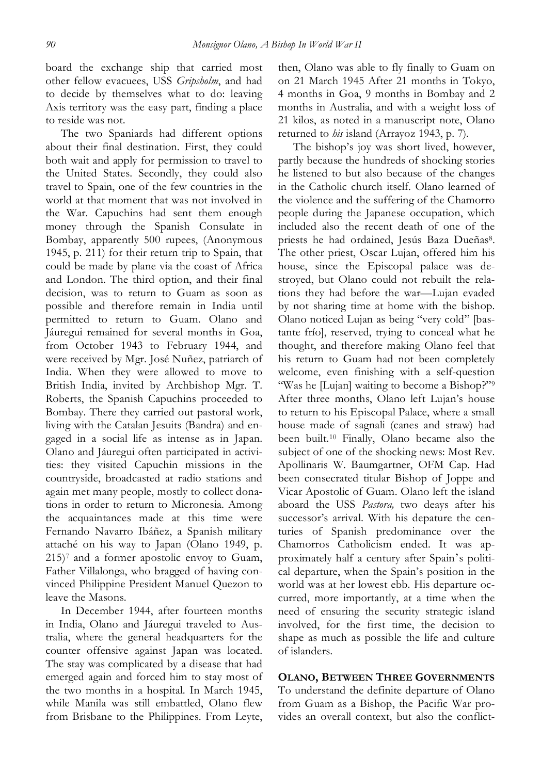board the exchange ship that carried most other fellow evacuees, USS *Gripsholm*, and had to decide by themselves what to do: leaving Axis territory was the easy part, finding a place to reside was not.

The two Spaniards had different options about their final destination. First, they could both wait and apply for permission to travel to the United States. Secondly, they could also travel to Spain, one of the few countries in the world at that moment that was not involved in the War. Capuchins had sent them enough money through the Spanish Consulate in Bombay, apparently 500 rupees, (Anonymous 1945, p. 211) for their return trip to Spain, that could be made by plane via the coast of Africa and London. The third option, and their final decision, was to return to Guam as soon as possible and therefore remain in India until permitted to return to Guam. Olano and Jáuregui remained for several months in Goa, from October 1943 to February 1944, and were received by Mgr. José Nuñez, patriarch of India. When they were allowed to move to British India, invited by Archbishop Mgr. T. Roberts, the Spanish Capuchins proceeded to Bombay. There they carried out pastoral work, living with the Catalan Jesuits (Bandra) and engaged in a social life as intense as in Japan. Olano and Jáuregui often participated in activities: they visited Capuchin missions in the countryside, broadcasted at radio stations and again met many people, mostly to collect donations in order to return to Micronesia. Among the acquaintances made at this time were Fernando Navarro Ibáñez, a Spanish military attaché on his way to Japan (Olano 1949, p.  $215$ <sup>7</sup> and a former apostolic envoy to Guam, Father Villalonga, who bragged of having convinced Philippine President Manuel Quezon to leave the Masons.

In December 1944, after fourteen months in India, Olano and Jáuregui traveled to Australia, where the general headquarters for the counter offensive against Japan was located. The stay was complicated by a disease that had emerged again and forced him to stay most of the two months in a hospital. In March 1945, while Manila was still embattled, Olano flew from Brisbane to the Philippines. From Leyte, then, Olano was able to fly finally to Guam on on 21 March 1945 After 21 months in Tokyo, 4 months in Goa, 9 months in Bombay and 2 months in Australia, and with a weight loss of 21 kilos, as noted in a manuscript note, Olano returned to *his* island (Arrayoz 1943, p. 7).

The bishop's joy was short lived, however, partly because the hundreds of shocking stories he listened to but also because of the changes in the Catholic church itself. Olano learned of the violence and the suffering of the Chamorro people during the Japanese occupation, which included also the recent death of one of the priests he had ordained, Jesús Baza Dueñas8. The other priest, Oscar Lujan, offered him his house, since the Episcopal palace was destroyed, but Olano could not rebuilt the relations they had before the war—Lujan evaded by not sharing time at home with the bishop. Olano noticed Lujan as being "very cold" [bastante frío], reserved, trying to conceal what he thought, and therefore making Olano feel that his return to Guam had not been completely welcome, even finishing with a self-question "Was he [Lujan] waiting to become a Bishop?"9 After three months, Olano left Lujan's house to return to his Episcopal Palace, where a small house made of sagnali (canes and straw) had been built.10 Finally, Olano became also the subject of one of the shocking news: Most Rev. Apollinaris W. Baumgartner, OFM Cap. Had been consecrated titular Bishop of Joppe and Vicar Apostolic of Guam. Olano left the island aboard the USS *Pastora,* two deays after his successor's arrival. With his depature the centuries of Spanish predominance over the Chamorros Catholicism ended. It was approximately half a century after Spain's political departure, when the Spain's position in the world was at her lowest ebb. His departure occurred, more importantly, at a time when the need of ensuring the security strategic island involved, for the first time, the decision to shape as much as possible the life and culture of islanders.

**OLANO, BETWEEN THREE GOVERNMENTS** To understand the definite departure of Olano from Guam as a Bishop, the Pacific War provides an overall context, but also the conflict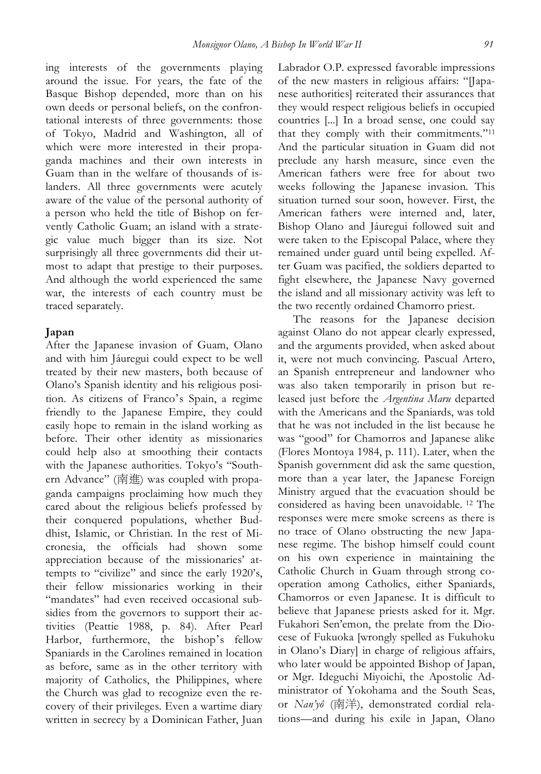ing interests of the governments playing around the issue. For years, the fate of the Basque Bishop depended, more than on his own deeds or personal beliefs, on the confrontational interests of three governments: those of Tokyo, Madrid and Washington, all of which were more interested in their propaganda machines and their own interests in Guam than in the welfare of thousands of islanders. All three governments were acutely aware of the value of the personal authority of a person who held the title of Bishop on fervently Catholic Guam; an island with a strategic value much bigger than its size. Not surprisingly all three governments did their utmost to adapt that prestige to their purposes. And although the world experienced the same war, the interests of each country must be traced separately.

### **Japan**

After the Japanese invasion of Guam, Olano and with him Jáuregui could expect to be well treated by their new masters, both because of Olano's Spanish identity and his religious position. As citizens of Franco's Spain, a regime friendly to the Japanese Empire, they could easily hope to remain in the island working as before. Their other identity as missionaries could help also at smoothing their contacts with the Japanese authorities. Tokyo's "Southern Advance" (南進) was coupled with propaganda campaigns proclaiming how much they cared about the religious beliefs professed by their conquered populations, whether Buddhist, Islamic, or Christian. In the rest of Micronesia, the officials had shown some appreciation because of the missionaries' attempts to "civilize" and since the early 1920's, their fellow missionaries working in their "mandates" had even received occasional subsidies from the governors to support their activities (Peattie 1988, p. 84). After Pearl Harbor, furthermore, the bishop's fellow Spaniards in the Carolines remained in location as before, same as in the other territory with majority of Catholics, the Philippines, where the Church was glad to recognize even the recovery of their privileges. Even a wartime diary written in secrecy by a Dominican Father, Juan

Labrador O.P. expressed favorable impressions of the new masters in religious affairs: "[Japanese authorities] reiterated their assurances that they would respect religious beliefs in occupied countries [...] In a broad sense, one could say that they comply with their commitments."11 And the particular situation in Guam did not preclude any harsh measure, since even the American fathers were free for about two weeks following the Japanese invasion. This situation turned sour soon, however. First, the American fathers were interned and, later, Bishop Olano and Jáuregui followed suit and were taken to the Episcopal Palace, where they remained under guard until being expelled. After Guam was pacified, the soldiers departed to fight elsewhere, the Japanese Navy governed the island and all missionary activity was left to the two recently ordained Chamorro priest.

The reasons for the Japanese decision against Olano do not appear clearly expressed, and the arguments provided, when asked about it, were not much convincing. Pascual Artero, an Spanish entrepreneur and landowner who was also taken temporarily in prison but released just before the *Argentina Maru* departed with the Americans and the Spaniards, was told that he was not included in the list because he was "good" for Chamorros and Japanese alike (Flores Montoya 1984, p. 111). Later, when the Spanish government did ask the same question, more than a year later, the Japanese Foreign Ministry argued that the evacuation should be considered as having been unavoidable. <sup>12</sup> The responses were mere smoke screens as there is no trace of Olano obstructing the new Japanese regime. The bishop himself could count on his own experience in maintaining the Catholic Church in Guam through strong cooperation among Catholics, either Spaniards, Chamorros or even Japanese. It is difficult to believe that Japanese priests asked for it. Mgr. Fukahori Sen'emon, the prelate from the Diocese of Fukuoka [wrongly spelled as Fukuhoku in Olano's Diary] in charge of religious affairs, who later would be appointed Bishop of Japan, or Mgr. Ideguchi Miyoichi, the Apostolic Administrator of Yokohama and the South Seas, or *Nan'yô* (南洋), demonstrated cordial relations—and during his exile in Japan, Olano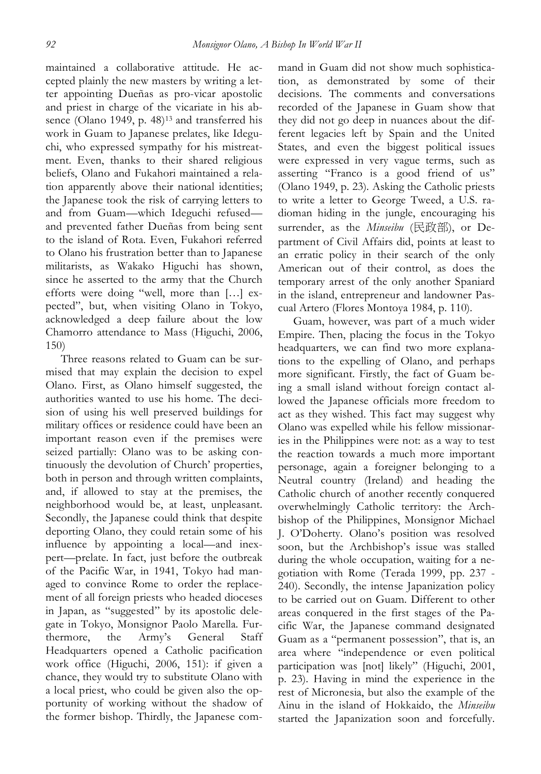maintained a collaborative attitude. He accepted plainly the new masters by writing a letter appointing Dueñas as pro-vicar apostolic and priest in charge of the vicariate in his absence (Olano 1949, p. 48)<sup>13</sup> and transferred his work in Guam to Japanese prelates, like Ideguchi, who expressed sympathy for his mistreatment. Even, thanks to their shared religious beliefs, Olano and Fukahori maintained a relation apparently above their national identities; the Japanese took the risk of carrying letters to and from Guam—which Ideguchi refused and prevented father Dueñas from being sent to the island of Rota. Even, Fukahori referred to Olano his frustration better than to Japanese militarists, as Wakako Higuchi has shown, since he asserted to the army that the Church efforts were doing "well, more than […] expected", but, when visiting Olano in Tokyo, acknowledged a deep failure about the low Chamorro attendance to Mass (Higuchi, 2006, 150)

Three reasons related to Guam can be surmised that may explain the decision to expel Olano. First, as Olano himself suggested, the authorities wanted to use his home. The decision of using his well preserved buildings for military offices or residence could have been an important reason even if the premises were seized partially: Olano was to be asking continuously the devolution of Church' properties, both in person and through written complaints, and, if allowed to stay at the premises, the neighborhood would be, at least, unpleasant. Secondly, the Japanese could think that despite deporting Olano, they could retain some of his influence by appointing a local—and inexpert—prelate. In fact, just before the outbreak of the Pacific War, in 1941, Tokyo had managed to convince Rome to order the replacement of all foreign priests who headed dioceses in Japan, as "suggested" by its apostolic delegate in Tokyo, Monsignor Paolo Marella. Furthermore, the Army's General Staff Headquarters opened a Catholic pacification work office (Higuchi, 2006, 151): if given a chance, they would try to substitute Olano with a local priest, who could be given also the opportunity of working without the shadow of the former bishop. Thirdly, the Japanese command in Guam did not show much sophistication, as demonstrated by some of their decisions. The comments and conversations recorded of the Japanese in Guam show that they did not go deep in nuances about the different legacies left by Spain and the United States, and even the biggest political issues were expressed in very vague terms, such as asserting "Franco is a good friend of us" (Olano 1949, p. 23). Asking the Catholic priests to write a letter to George Tweed, a U.S. radioman hiding in the jungle, encouraging his surrender, as the *Minseibu* (民政部), or Department of Civil Affairs did, points at least to an erratic policy in their search of the only American out of their control, as does the temporary arrest of the only another Spaniard in the island, entrepreneur and landowner Pascual Artero (Flores Montoya 1984, p. 110).

Guam, however, was part of a much wider Empire. Then, placing the focus in the Tokyo headquarters, we can find two more explanations to the expelling of Olano, and perhaps more significant. Firstly, the fact of Guam being a small island without foreign contact allowed the Japanese officials more freedom to act as they wished. This fact may suggest why Olano was expelled while his fellow missionaries in the Philippines were not: as a way to test the reaction towards a much more important personage, again a foreigner belonging to a Neutral country (Ireland) and heading the Catholic church of another recently conquered overwhelmingly Catholic territory: the Archbishop of the Philippines, Monsignor Michael J. O'Doherty. Olano's position was resolved soon, but the Archbishop's issue was stalled during the whole occupation, waiting for a negotiation with Rome (Terada 1999, pp. 237 - 240). Secondly, the intense Japanization policy to be carried out on Guam. Different to other areas conquered in the first stages of the Pacific War, the Japanese command designated Guam as a "permanent possession", that is, an area where "independence or even political participation was [not] likely" (Higuchi, 2001, p. 23). Having in mind the experience in the rest of Micronesia, but also the example of the Ainu in the island of Hokkaido, the *Minseibu* started the Japanization soon and forcefully.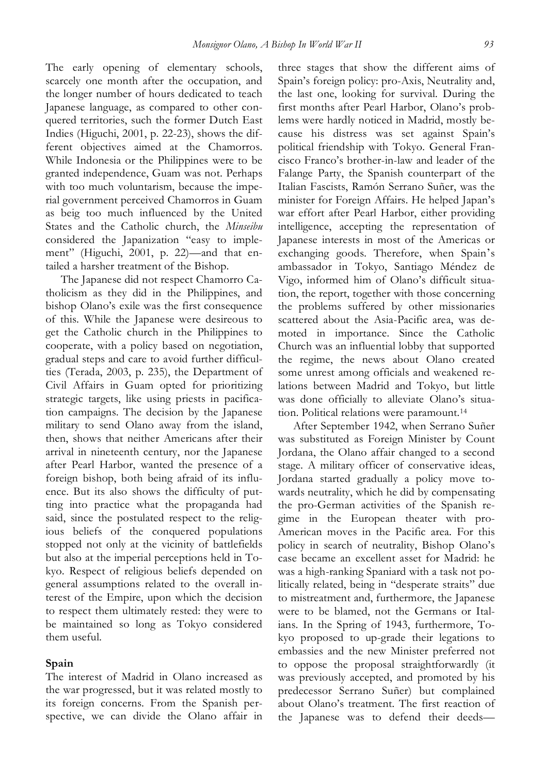The early opening of elementary schools, scarcely one month after the occupation, and the longer number of hours dedicated to teach Japanese language, as compared to other conquered territories, such the former Dutch East Indies (Higuchi, 2001, p. 22-23), shows the different objectives aimed at the Chamorros. While Indonesia or the Philippines were to be granted independence, Guam was not. Perhaps with too much voluntarism, because the imperial government perceived Chamorros in Guam as beig too much influenced by the United States and the Catholic church, the *Minseibu* considered the Japanization "easy to implement" (Higuchi, 2001, p. 22)—and that entailed a harsher treatment of the Bishop.

The Japanese did not respect Chamorro Catholicism as they did in the Philippines, and bishop Olano's exile was the first consequence of this. While the Japanese were desireous to get the Catholic church in the Philippines to cooperate, with a policy based on negotiation, gradual steps and care to avoid further difficulties (Terada, 2003, p. 235), the Department of Civil Affairs in Guam opted for prioritizing strategic targets, like using priests in pacification campaigns. The decision by the Japanese military to send Olano away from the island, then, shows that neither Americans after their arrival in nineteenth century, nor the Japanese after Pearl Harbor, wanted the presence of a foreign bishop, both being afraid of its influence. But its also shows the difficulty of putting into practice what the propaganda had said, since the postulated respect to the religious beliefs of the conquered populations stopped not only at the vicinity of battlefields but also at the imperial perceptions held in Tokyo. Respect of religious beliefs depended on general assumptions related to the overall interest of the Empire, upon which the decision to respect them ultimately rested: they were to be maintained so long as Tokyo considered them useful.

## **Spain**

The interest of Madrid in Olano increased as the war progressed, but it was related mostly to its foreign concerns. From the Spanish perspective, we can divide the Olano affair in three stages that show the different aims of Spain's foreign policy: pro-Axis, Neutrality and, the last one, looking for survival. During the first months after Pearl Harbor, Olano's problems were hardly noticed in Madrid, mostly because his distress was set against Spain's political friendship with Tokyo. General Francisco Franco's brother-in-law and leader of the Falange Party, the Spanish counterpart of the Italian Fascists, Ramón Serrano Suñer, was the minister for Foreign Affairs. He helped Japan's war effort after Pearl Harbor, either providing intelligence, accepting the representation of Japanese interests in most of the Americas or exchanging goods. Therefore, when Spain's ambassador in Tokyo, Santiago Méndez de Vigo, informed him of Olano's difficult situation, the report, together with those concerning the problems suffered by other missionaries scattered about the Asia-Pacific area, was demoted in importance. Since the Catholic Church was an influential lobby that supported the regime, the news about Olano created some unrest among officials and weakened relations between Madrid and Tokyo, but little was done officially to alleviate Olano's situation. Political relations were paramount.14

After September 1942, when Serrano Suñer was substituted as Foreign Minister by Count Jordana, the Olano affair changed to a second stage. A military officer of conservative ideas, Jordana started gradually a policy move towards neutrality, which he did by compensating the pro-German activities of the Spanish regime in the European theater with pro-American moves in the Pacific area. For this policy in search of neutrality, Bishop Olano's case became an excellent asset for Madrid: he was a high-ranking Spaniard with a task not politically related, being in "desperate straits" due to mistreatment and, furthermore, the Japanese were to be blamed, not the Germans or Italians. In the Spring of 1943, furthermore, Tokyo proposed to up-grade their legations to embassies and the new Minister preferred not to oppose the proposal straightforwardly (it was previously accepted, and promoted by his predecessor Serrano Suñer) but complained about Olano's treatment. The first reaction of the Japanese was to defend their deeds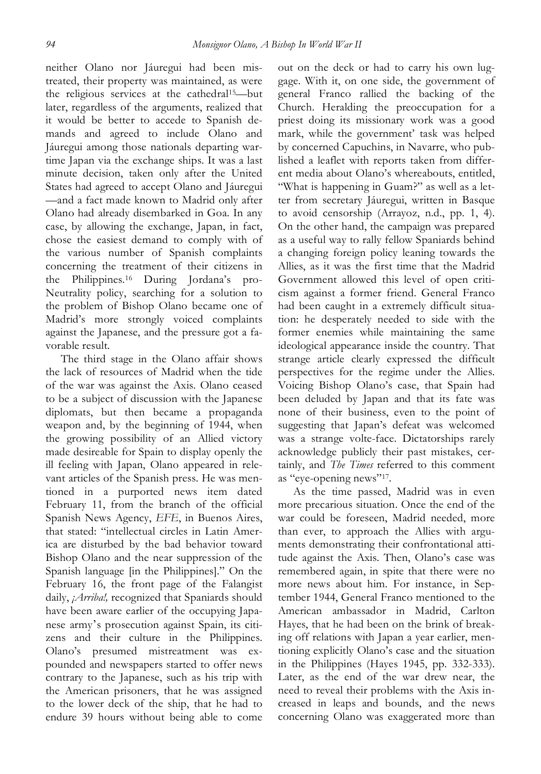neither Olano nor Jáuregui had been mistreated, their property was maintained, as were the religious services at the cathedral<sup>15</sup>-but later, regardless of the arguments, realized that it would be better to accede to Spanish demands and agreed to include Olano and Jáuregui among those nationals departing wartime Japan via the exchange ships. It was a last minute decision, taken only after the United States had agreed to accept Olano and Jáuregui —and a fact made known to Madrid only after Olano had already disembarked in Goa. In any case, by allowing the exchange, Japan, in fact, chose the easiest demand to comply with of the various number of Spanish complaints concerning the treatment of their citizens in the Philippines.16 During Jordana's pro-Neutrality policy, searching for a solution to the problem of Bishop Olano became one of Madrid's more strongly voiced complaints against the Japanese, and the pressure got a favorable result.

The third stage in the Olano affair shows the lack of resources of Madrid when the tide of the war was against the Axis. Olano ceased to be a subject of discussion with the Japanese diplomats, but then became a propaganda weapon and, by the beginning of 1944, when the growing possibility of an Allied victory made desireable for Spain to display openly the ill feeling with Japan, Olano appeared in relevant articles of the Spanish press. He was mentioned in a purported news item dated February 11, from the branch of the official Spanish News Agency, *EFE*, in Buenos Aires, that stated: "intellectual circles in Latin America are disturbed by the bad behavior toward Bishop Olano and the near suppression of the Spanish language [in the Philippines]." On the February 16, the front page of the Falangist daily, *¡Arriba!*, recognized that Spaniards should have been aware earlier of the occupying Japanese army's prosecution against Spain, its citizens and their culture in the Philippines. Olano's presumed mistreatment was expounded and newspapers started to offer news contrary to the Japanese, such as his trip with the American prisoners, that he was assigned to the lower deck of the ship, that he had to endure 39 hours without being able to come

out on the deck or had to carry his own luggage. With it, on one side, the government of general Franco rallied the backing of the Church. Heralding the preoccupation for a priest doing its missionary work was a good mark, while the government' task was helped by concerned Capuchins, in Navarre, who published a leaflet with reports taken from different media about Olano's whereabouts, entitled, "What is happening in Guam?" as well as a letter from secretary Jáuregui, written in Basque to avoid censorship (Arrayoz, n.d., pp. 1, 4). On the other hand, the campaign was prepared as a useful way to rally fellow Spaniards behind a changing foreign policy leaning towards the Allies, as it was the first time that the Madrid Government allowed this level of open criticism against a former friend. General Franco had been caught in a extremely difficult situation: he desperately needed to side with the former enemies while maintaining the same ideological appearance inside the country. That strange article clearly expressed the difficult perspectives for the regime under the Allies. Voicing Bishop Olano's case, that Spain had been deluded by Japan and that its fate was none of their business, even to the point of suggesting that Japan's defeat was welcomed was a strange volte-face. Dictatorships rarely acknowledge publicly their past mistakes, certainly, and *The Times* referred to this comment as "eye-opening news"17.

As the time passed, Madrid was in even more precarious situation. Once the end of the war could be foreseen, Madrid needed, more than ever, to approach the Allies with arguments demonstrating their confrontational attitude against the Axis. Then, Olano's case was remembered again, in spite that there were no more news about him. For instance, in September 1944, General Franco mentioned to the American ambassador in Madrid, Carlton Hayes, that he had been on the brink of breaking off relations with Japan a year earlier, mentioning explicitly Olano's case and the situation in the Philippines (Hayes 1945, pp. 332-333). Later, as the end of the war drew near, the need to reveal their problems with the Axis increased in leaps and bounds, and the news concerning Olano was exaggerated more than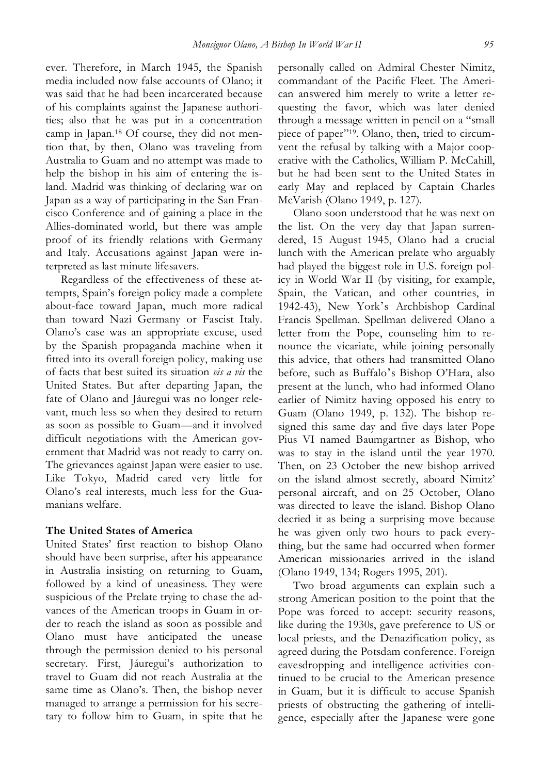ever. Therefore, in March 1945, the Spanish media included now false accounts of Olano; it was said that he had been incarcerated because of his complaints against the Japanese authorities; also that he was put in a concentration camp in Japan.18 Of course, they did not mention that, by then, Olano was traveling from Australia to Guam and no attempt was made to help the bishop in his aim of entering the island. Madrid was thinking of declaring war on Japan as a way of participating in the San Francisco Conference and of gaining a place in the Allies-dominated world, but there was ample proof of its friendly relations with Germany and Italy. Accusations against Japan were interpreted as last minute lifesavers.

Regardless of the effectiveness of these attempts, Spain's foreign policy made a complete about-face toward Japan, much more radical than toward Nazi Germany or Fascist Italy. Olano's case was an appropriate excuse, used by the Spanish propaganda machine when it fitted into its overall foreign policy, making use of facts that best suited its situation *vis a vis* the United States. But after departing Japan, the fate of Olano and Jáuregui was no longer relevant, much less so when they desired to return as soon as possible to Guam—and it involved difficult negotiations with the American government that Madrid was not ready to carry on. The grievances against Japan were easier to use. Like Tokyo, Madrid cared very little for Olano's real interests, much less for the Guamanians welfare.

## **The United States of America**

United States' first reaction to bishop Olano should have been surprise, after his appearance in Australia insisting on returning to Guam, followed by a kind of uneasiness. They were suspicious of the Prelate trying to chase the advances of the American troops in Guam in order to reach the island as soon as possible and Olano must have anticipated the unease through the permission denied to his personal secretary. First, Jáuregui's authorization to travel to Guam did not reach Australia at the same time as Olano's. Then, the bishop never managed to arrange a permission for his secretary to follow him to Guam, in spite that he personally called on Admiral Chester Nimitz, commandant of the Pacific Fleet. The American answered him merely to write a letter requesting the favor, which was later denied through a message written in pencil on a "small piece of paper"<sup>19</sup>. Olano, then, tried to circumvent the refusal by talking with a Major cooperative with the Catholics, William P. McCahill, but he had been sent to the United States in early May and replaced by Captain Charles McVarish (Olano 1949, p. 127).

Olano soon understood that he was next on the list. On the very day that Japan surrendered, 15 August 1945, Olano had a crucial lunch with the American prelate who arguably had played the biggest role in U.S. foreign policy in World War II (by visiting, for example, Spain, the Vatican, and other countries, in 1942-43), New York's Archbishop Cardinal Francis Spellman. Spellman delivered Olano a letter from the Pope, counseling him to renounce the vicariate, while joining personally this advice, that others had transmitted Olano before, such as Buffalo's Bishop O'Hara, also present at the lunch, who had informed Olano earlier of Nimitz having opposed his entry to Guam (Olano 1949, p. 132). The bishop resigned this same day and five days later Pope Pius VI named Baumgartner as Bishop, who was to stay in the island until the year 1970. Then, on 23 October the new bishop arrived on the island almost secretly, aboard Nimitz' personal aircraft, and on 25 October, Olano was directed to leave the island. Bishop Olano decried it as being a surprising move because he was given only two hours to pack everything, but the same had occurred when former American missionaries arrived in the island (Olano 1949, 134; Rogers 1995, 201).

Two broad arguments can explain such a strong American position to the point that the Pope was forced to accept: security reasons, like during the 1930s, gave preference to US or local priests, and the Denazification policy, as agreed during the Potsdam conference. Foreign eavesdropping and intelligence activities continued to be crucial to the American presence in Guam, but it is difficult to accuse Spanish priests of obstructing the gathering of intelligence, especially after the Japanese were gone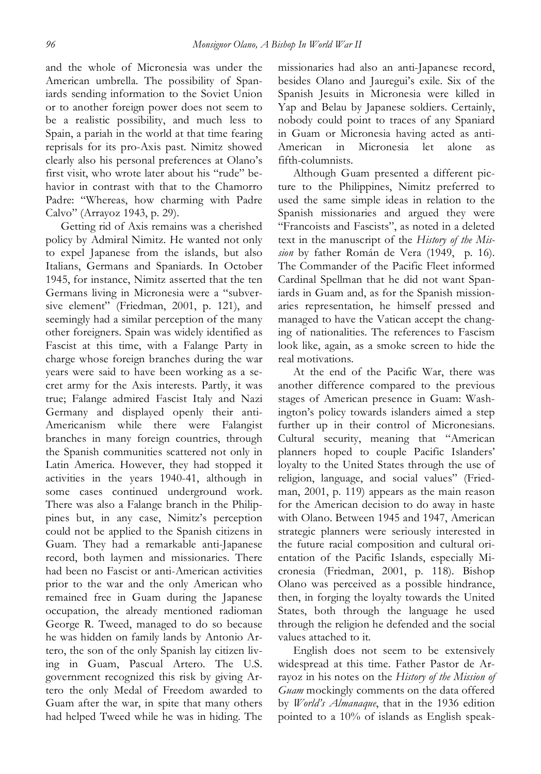and the whole of Micronesia was under the American umbrella. The possibility of Spaniards sending information to the Soviet Union or to another foreign power does not seem to be a realistic possibility, and much less to Spain, a pariah in the world at that time fearing reprisals for its pro-Axis past. Nimitz showed clearly also his personal preferences at Olano's first visit, who wrote later about his "rude" behavior in contrast with that to the Chamorro Padre: "Whereas, how charming with Padre Calvo" (Arrayoz 1943, p. 29).

Getting rid of Axis remains was a cherished policy by Admiral Nimitz. He wanted not only to expel Japanese from the islands, but also Italians, Germans and Spaniards. In October 1945, for instance, Nimitz asserted that the ten Germans living in Micronesia were a "subversive element" (Friedman, 2001, p. 121), and seemingly had a similar perception of the many other foreigners. Spain was widely identified as Fascist at this time, with a Falange Party in charge whose foreign branches during the war years were said to have been working as a secret army for the Axis interests. Partly, it was true; Falange admired Fascist Italy and Nazi Germany and displayed openly their anti-Americanism while there were Falangist branches in many foreign countries, through the Spanish communities scattered not only in Latin America. However, they had stopped it activities in the years 1940-41, although in some cases continued underground work. There was also a Falange branch in the Philippines but, in any case, Nimitz's perception could not be applied to the Spanish citizens in Guam. They had a remarkable anti-Japanese record, both laymen and missionaries. There had been no Fascist or anti-American activities prior to the war and the only American who remained free in Guam during the Japanese occupation, the already mentioned radioman George R. Tweed, managed to do so because he was hidden on family lands by Antonio Artero, the son of the only Spanish lay citizen living in Guam, Pascual Artero. The U.S. government recognized this risk by giving Artero the only Medal of Freedom awarded to Guam after the war, in spite that many others had helped Tweed while he was in hiding. The missionaries had also an anti-Japanese record, besides Olano and Jauregui's exile. Six of the Spanish Jesuits in Micronesia were killed in Yap and Belau by Japanese soldiers. Certainly, nobody could point to traces of any Spaniard in Guam or Micronesia having acted as anti-American in Micronesia let alone as fifth-columnists.

Although Guam presented a different picture to the Philippines, Nimitz preferred to used the same simple ideas in relation to the Spanish missionaries and argued they were "Francoists and Fascists", as noted in a deleted text in the manuscript of the *History of the Mission* by father Román de Vera (1949, p. 16). The Commander of the Pacific Fleet informed Cardinal Spellman that he did not want Spaniards in Guam and, as for the Spanish missionaries representation, he himself pressed and managed to have the Vatican accept the changing of nationalities. The references to Fascism look like, again, as a smoke screen to hide the real motivations.

At the end of the Pacific War, there was another difference compared to the previous stages of American presence in Guam: Washington's policy towards islanders aimed a step further up in their control of Micronesians. Cultural security, meaning that "American planners hoped to couple Pacific Islanders' loyalty to the United States through the use of religion, language, and social values" (Friedman, 2001, p. 119) appears as the main reason for the American decision to do away in haste with Olano. Between 1945 and 1947, American strategic planners were seriously interested in the future racial composition and cultural orientation of the Pacific Islands, especially Micronesia (Friedman, 2001, p. 118). Bishop Olano was perceived as a possible hindrance, then, in forging the loyalty towards the United States, both through the language he used through the religion he defended and the social values attached to it.

English does not seem to be extensively widespread at this time. Father Pastor de Arrayoz in his notes on the *History of the Mission of Guam* mockingly comments on the data offered by *World's Almanaque*, that in the 1936 edition pointed to a 10% of islands as English speak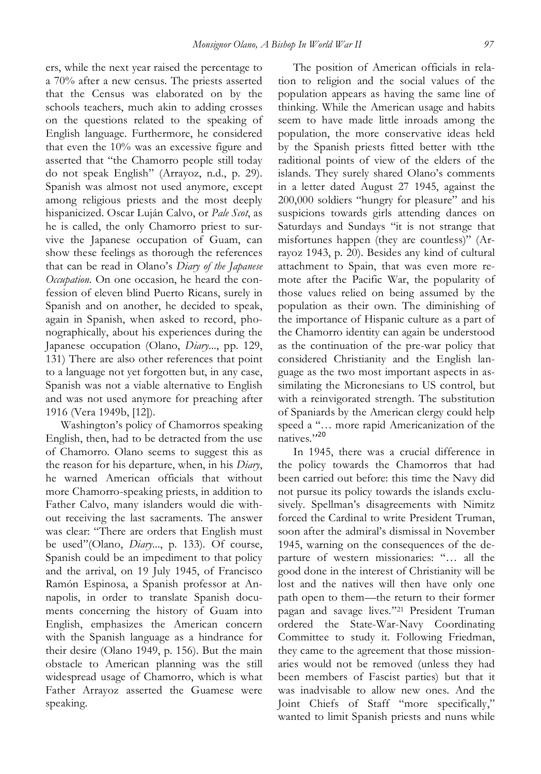ers, while the next year raised the percentage to a 70% after a new census. The priests asserted that the Census was elaborated on by the schools teachers, much akin to adding crosses on the questions related to the speaking of English language. Furthermore, he considered that even the 10% was an excessive figure and asserted that "the Chamorro people still today do not speak English" (Arrayoz, n.d., p. 29). Spanish was almost not used anymore, except among religious priests and the most deeply hispanicized. Oscar Luján Calvo, or *Pale Scot*, as he is called, the only Chamorro priest to survive the Japanese occupation of Guam, can show these feelings as thorough the references that can be read in Olano's *Diary of the Japanese Occupation*. On one occasion, he heard the confession of eleven blind Puerto Ricans, surely in Spanish and on another, he decided to speak, again in Spanish, when asked to record, phonographically, about his experiences during the Japanese occupation (Olano, *Diary*..., pp. 129, 131) There are also other references that point to a language not yet forgotten but, in any case, Spanish was not a viable alternative to English and was not used anymore for preaching after 1916 (Vera 1949b, [12]).

Washington's policy of Chamorros speaking English, then, had to be detracted from the use of Chamorro. Olano seems to suggest this as the reason for his departure, when, in his *Diary*, he warned American officials that without more Chamorro-speaking priests, in addition to Father Calvo, many islanders would die without receiving the last sacraments. The answer was clear: "There are orders that English must be used"(Olano, *Diary*..., p. 133). Of course, Spanish could be an impediment to that policy and the arrival, on 19 July 1945, of Francisco Ramón Espinosa, a Spanish professor at Annapolis, in order to translate Spanish documents concerning the history of Guam into English, emphasizes the American concern with the Spanish language as a hindrance for their desire (Olano 1949, p. 156). But the main obstacle to American planning was the still widespread usage of Chamorro, which is what Father Arrayoz asserted the Guamese were speaking.

The position of American officials in relation to religion and the social values of the population appears as having the same line of thinking. While the American usage and habits seem to have made little inroads among the population, the more conservative ideas held by the Spanish priests fitted better with tthe raditional points of view of the elders of the islands. They surely shared Olano's comments in a letter dated August 27 1945, against the 200,000 soldiers "hungry for pleasure" and his suspicions towards girls attending dances on Saturdays and Sundays "it is not strange that misfortunes happen (they are countless)" (Arrayoz 1943, p. 20). Besides any kind of cultural attachment to Spain, that was even more remote after the Pacific War, the popularity of those values relied on being assumed by the population as their own. The diminishing of the importance of Hispanic culture as a part of the Chamorro identity can again be understood as the continuation of the pre-war policy that considered Christianity and the English language as the two most important aspects in assimilating the Micronesians to US control, but with a reinvigorated strength. The substitution of Spaniards by the American clergy could help speed a ''… more rapid Americanization of the natives.'' 20

In 1945, there was a crucial difference in the policy towards the Chamorros that had been carried out before: this time the Navy did not pursue its policy towards the islands exclusively. Spellman's disagreements with Nimitz forced the Cardinal to write President Truman, soon after the admiral's dismissal in November 1945, warning on the consequences of the departure of western missionaries: ''… all the good done in the interest of Christianity will be lost and the natives will then have only one path open to them—the return to their former pagan and savage lives.''21 President Truman ordered the State-War-Navy Coordinating Committee to study it. Following Friedman, they came to the agreement that those missionaries would not be removed (unless they had been members of Fascist parties) but that it was inadvisable to allow new ones. And the Joint Chiefs of Staff "more specifically," wanted to limit Spanish priests and nuns while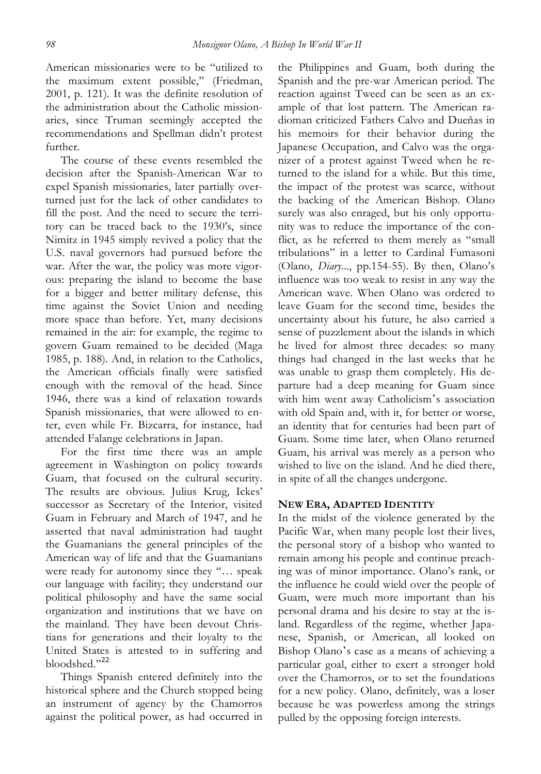American missionaries were to be "utilized to the maximum extent possible," (Friedman, 2001, p. 121). It was the definite resolution of the administration about the Catholic missionaries, since Truman seemingly accepted the recommendations and Spellman didn't protest further.

The course of these events resembled the decision after the Spanish-American War to expel Spanish missionaries, later partially overturned just for the lack of other candidates to fill the post. And the need to secure the territory can be traced back to the 1930's, since Nimitz in 1945 simply revived a policy that the U.S. naval governors had pursued before the war. After the war, the policy was more vigorous: preparing the island to become the base for a bigger and better military defense, this time against the Soviet Union and needing more space than before. Yet, many decisions remained in the air: for example, the regime to govern Guam remained to be decided (Maga 1985, p. 188). And, in relation to the Catholics, the American officials finally were satisfied enough with the removal of the head. Since 1946, there was a kind of relaxation towards Spanish missionaries, that were allowed to enter, even while Fr. Bizcarra, for instance, had attended Falange celebrations in Japan.

For the first time there was an ample agreement in Washington on policy towards Guam, that focused on the cultural security. The results are obvious. Julius Krug, Ickes' successor as Secretary of the Interior, visited Guam in February and March of 1947, and he asserted that naval administration had taught the Guamanians the general principles of the American way of life and that the Guamanians were ready for autonomy since they "... speak our language with facility; they understand our political philosophy and have the same social organization and institutions that we have on the mainland. They have been devout Christians for generations and their loyalty to the United States is attested to in suffering and bloodshed."22

Things Spanish entered definitely into the historical sphere and the Church stopped being an instrument of agency by the Chamorros against the political power, as had occurred in the Philippines and Guam, both during the Spanish and the pre-war American period. The reaction against Tweed can be seen as an example of that lost pattern. The American radioman criticized Fathers Calvo and Dueñas in his memoirs for their behavior during the Japanese Occupation, and Calvo was the organizer of a protest against Tweed when he returned to the island for a while. But this time, the impact of the protest was scarce, without the backing of the American Bishop. Olano surely was also enraged, but his only opportunity was to reduce the importance of the conflict, as he referred to them merely as "small tribulations" in a letter to Cardinal Fumasoni (Olano, *Diary*..., pp.154-55). By then, Olano's influence was too weak to resist in any way the American wave. When Olano was ordered to leave Guam for the second time, besides the uncertainty about his future, he also carried a sense of puzzlement about the islands in which he lived for almost three decades: so many things had changed in the last weeks that he was unable to grasp them completely. His departure had a deep meaning for Guam since with him went away Catholicism's association with old Spain and, with it, for better or worse, an identity that for centuries had been part of Guam. Some time later, when Olano returned Guam, his arrival was merely as a person who wished to live on the island. And he died there, in spite of all the changes undergone.

## **NEW ERA, ADAPTED IDENTITY**

In the midst of the violence generated by the Pacific War, when many people lost their lives, the personal story of a bishop who wanted to remain among his people and continue preaching was of minor importance. Olano's rank, or the influence he could wield over the people of Guam, were much more important than his personal drama and his desire to stay at the island. Regardless of the regime, whether Japanese, Spanish, or American, all looked on Bishop Olano's case as a means of achieving a particular goal, either to exert a stronger hold over the Chamorros, or to set the foundations for a new policy. Olano, definitely, was a loser because he was powerless among the strings pulled by the opposing foreign interests.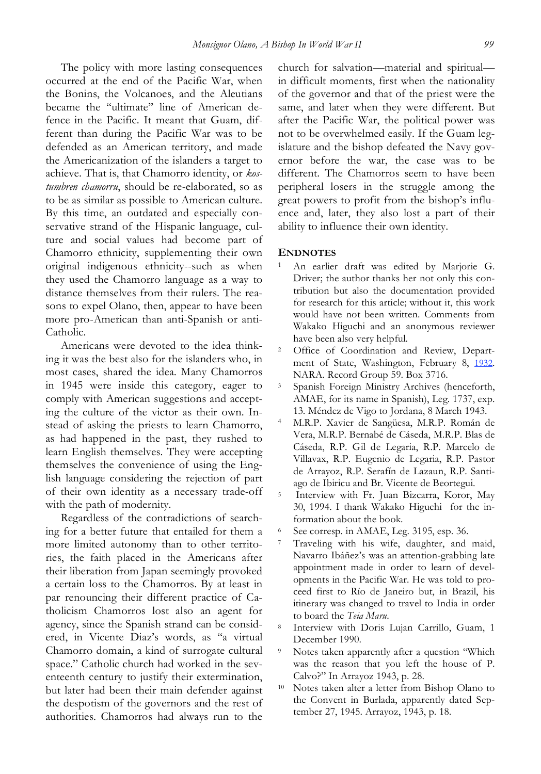The policy with more lasting consequences occurred at the end of the Pacific War, when the Bonins, the Volcanoes, and the Aleutians became the "ultimate" line of American defence in the Pacific. It meant that Guam, different than during the Pacific War was to be defended as an American territory, and made the Americanization of the islanders a target to achieve. That is, that Chamorro identity, or *kostumbren chamorru*, should be re-elaborated, so as to be as similar as possible to American culture. By this time, an outdated and especially conservative strand of the Hispanic language, culture and social values had become part of Chamorro ethnicity, supplementing their own original indigenous ethnicity--such as when they used the Chamorro language as a way to distance themselves from their rulers. The reasons to expel Olano, then, appear to have been more pro-American than anti-Spanish or anti-Catholic.

Americans were devoted to the idea thinking it was the best also for the islanders who, in most cases, shared the idea. Many Chamorros in 1945 were inside this category, eager to comply with American suggestions and accepting the culture of the victor as their own. Instead of asking the priests to learn Chamorro, as had happened in the past, they rushed to learn English themselves. They were accepting themselves the convenience of using the English language considering the rejection of part of their own identity as a necessary trade-off with the path of modernity.

Regardless of the contradictions of searching for a better future that entailed for them a more limited autonomy than to other territories, the faith placed in the Americans after their liberation from Japan seemingly provoked a certain loss to the Chamorros. By at least in par renouncing their different practice of Catholicism Chamorros lost also an agent for agency, since the Spanish strand can be considered, in Vicente Diaz's words, as "a virtual Chamorro domain, a kind of surrogate cultural space." Catholic church had worked in the seventeenth century to justify their extermination, but later had been their main defender against the despotism of the governors and the rest of authorities. Chamorros had always run to the church for salvation—material and spiritual in difficult moments, first when the nationality of the governor and that of the priest were the same, and later when they were different. But after the Pacific War, the political power was not to be overwhelmed easily. If the Guam legislature and the bishop defeated the Navy governor before the war, the case was to be different. The Chamorros seem to have been peripheral losers in the struggle among the great powers to profit from the bishop's influence and, later, they also lost a part of their ability to influence their own identity.

#### **ENDNOTES**

- <sup>1</sup> An earlier draft was edited by Marjorie G. Driver; the author thanks her not only this contribution but also the documentation provided for research for this article; without it, this work would have not been written. Comments from Wakako Higuchi and an anonymous reviewer have been also very helpful.
- <sup>2</sup> Office of Coordination and Review, Department of State, Washington, February 8, 1932. NARA. Record Group 59. Box 3716.
- <sup>3</sup> Spanish Foreign Ministry Archives (henceforth, AMAE, for its name in Spanish), Leg. 1737, exp. 13. Méndez de Vigo to Jordana, 8 March 1943.
- <sup>4</sup> M.R.P. Xavier de Sangüesa, M.R.P. Román de Vera, M.R.P. Bernabé de Cáseda, M.R.P. Blas de Cáseda, R.P. Gil de Legaria, R.P. Marcelo de Villavax, R.P. Eugenio de Legaria, R.P. Pastor de Arrayoz, R.P. Serafín de Lazaun, R.P. Santiago de Ibiricu and Br. Vicente de Beortegui.
- <sup>5</sup> Interview with Fr. Juan Bizcarra, Koror, May 30, 1994. I thank Wakako Higuchi for the information about the book.
- <sup>6</sup> See corresp. in AMAE, Leg. 3195, esp. 36.
- <sup>7</sup> Traveling with his wife, daughter, and maid, Navarro Ibáñez's was an attention-grabbing late appointment made in order to learn of developments in the Pacific War. He was told to proceed first to Río de Janeiro but, in Brazil, his itinerary was changed to travel to India in order to board the *Teia Maru*.
- <sup>8</sup> Interview with Doris Lujan Carrillo, Guam, 1 December 1990.
- <sup>9</sup> Notes taken apparently after a question "Which was the reason that you left the house of P. Calvo?" In Arrayoz 1943, p. 28.
- <sup>10</sup> Notes taken alter a letter from Bishop Olano to the Convent in Burlada, apparently dated September 27, 1945. Arrayoz, 1943, p. 18.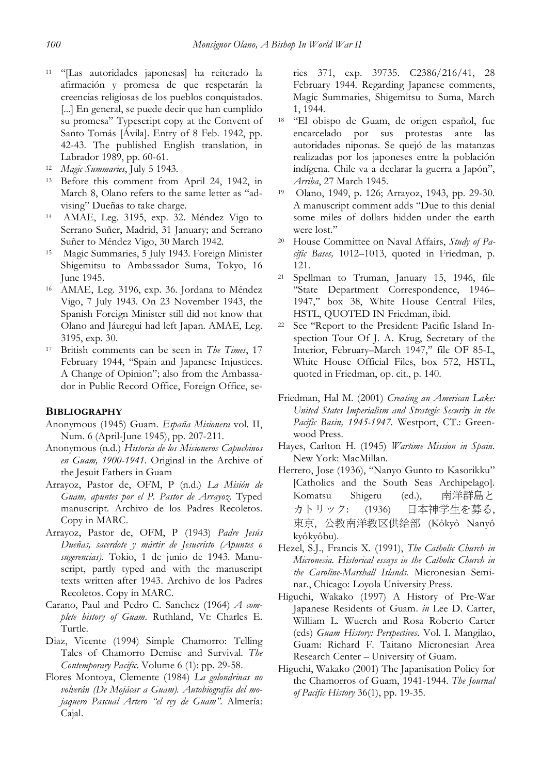- <sup>11</sup> "[Las autoridades japonesas] ha reiterado la afirmación y promesa de que respetarán la creencias religiosas de los pueblos conquistados. [...] En general, se puede decir que han cumplido su promesa" Typescript copy at the Convent of Santo Tomás [Ávila]. Entry of 8 Feb. 1942, pp. 42-43. The published English translation, in Labrador 1989, pp. 60-61.
- <sup>12</sup> *Magic Summaries*, July 5 1943.
- <sup>13</sup> Before this comment from April 24, 1942, in March 8, Olano refers to the same letter as "advising" Dueñas to take charge.
- <sup>14</sup> AMAE, Leg. 3195, exp. 32. Méndez Vigo to Serrano Suñer, Madrid, 31 January; and Serrano Suñer to Méndez Vigo, 30 March 1942.
- <sup>15</sup> Magic Summaries, 5 July 1943. Foreign Minister Shigemitsu to Ambassador Suma, Tokyo, 16 June 1945.
- <sup>16</sup> AMAE, Leg. 3196, exp. 36. Jordana to Méndez Vigo, 7 July 1943. On 23 November 1943, the Spanish Foreign Minister still did not know that Olano and Jáuregui had left Japan. AMAE, Leg. 3195, exp. 30.
- <sup>17</sup> British comments can be seen in *The Times*, 17 February 1944, "Spain and Japanese Injustices. A Change of Opinion"; also from the Ambassador in Public Record Office, Foreign Office, se-

#### **BIBLIOGRAPHY**

- Anonymous (1945) Guam. *España Misionera* vol. II, Num. 6 (April-June 1945), pp. 207-211.
- Anonymous (n.d.) *Historia de los Misioneros Capuchinos en Guam, 1900-1941*. Original in the Archive of the Jesuit Fathers in Guam
- Arrayoz, Pastor de, OFM, P (n.d.) *La Misión de Guam, apuntes por el P. Pastor de Arrayoz*. Typed manuscript. Archivo de los Padres Recoletos. Copy in MARC.
- Arrayoz, Pastor de, OFM, P (1943) *Padre Jesús Dueñas, sacerdote y mártir de Jesucristo (Apuntes o sugerencias)*. Tokio, 1 de junio de 1943. Manuscript, partly typed and with the manuscript texts written after 1943. Archivo de los Padres Recoletos. Copy in MARC.
- Carano, Paul and Pedro C. Sanchez (1964) *A complete history of Guam*. Ruthland, Vt: Charles E. Turtle.
- Diaz, Vicente (1994) Simple Chamorro: Telling Tales of Chamorro Demise and Survival. *The Contemporary Pacific*. Volume 6 (1): pp. 29-58.
- Flores Montoya, Clemente (1984) *La golondrinas no volverán (De Mojácar a Guam). Autobiografía del mojaquero Pascual Artero "el rey de Guam".* Almería: Cajal.

ries 371, exp. 39735. C2386/216/41, 28 February 1944. Regarding Japanese comments, Magic Summaries, Shigemitsu to Suma, March 1, 1944.

- <sup>18</sup> "El obispo de Guam, de origen español, fue encarcelado por sus protestas ante las autoridades niponas. Se quejó de las matanzas realizadas por los japoneses entre la población indígena. Chile va a declarar la guerra a Japón", *Arriba*, 27 March 1945.
- <sup>19</sup> Olano, 1949, p. 126; Arrayoz, 1943, pp. 29-30. A manuscript comment adds "Due to this denial some miles of dollars hidden under the earth were lost."
- <sup>20</sup> House Committee on Naval Affairs, *Study of Pacific Bases,* 1012–1013, quoted in Friedman, p. 121.
- <sup>21</sup> Spellman to Truman, January 15, 1946, file ''State Department Correspondence, 1946– 1947,'' box 38, White House Central Files, HSTL, QUOTED IN Friedman, ibid.
- <sup>22</sup> See ''Report to the President: Pacific Island Inspection Tour Of J. A. Krug, Secretary of the Interior, February-March 1947," file OF 85-L, White House Official Files, box 572, HSTL, quoted in Friedman, op. cit., p. 140.
- Friedman, Hal M. (2001) *Creating an American Lake: United States Imperialism and Strategic Security in the Pacific Basin, 1945-1947.* Westport, CT.: Greenwood Press.
- Hayes, Carlton H. (1945) *Wartime Mission in Spain.* New York: MacMillan.
- Herrero, Jose (1936), "Nanyo Gunto to Kasorikku" [Catholics and the South Seas Archipelago]. Komatsu Shigeru (ed.), 南洋群島と カトリック: (1936) 日本神学生を募る, 東京, 公教南洋教区供給部 (Kôkyô Nanyô kyôkyôbu).
- Hezel, S.J., Francis X. (1991), *The Catholic Church in Micronesia. Historical essays in the Catholic Church in the Caroline-Marshall Islands.* Micronesian Seminar., Chicago: Loyola University Press.
- Higuchi, Wakako (1997) A History of Pre-War Japanese Residents of Guam. *in* Lee D. Carter, William L. Wuerch and Rosa Roberto Carter (eds) *Guam History: Perspectives*. Vol. I. Mangilao, Guam: Richard F. Taitano Micronesian Area Research Center – University of Guam.
- Higuchi, Wakako (2001) The Japanisation Policy for the Chamorros of Guam, 1941-1944. *The Journal of Pacific History* 36(1), pp. 19-35.